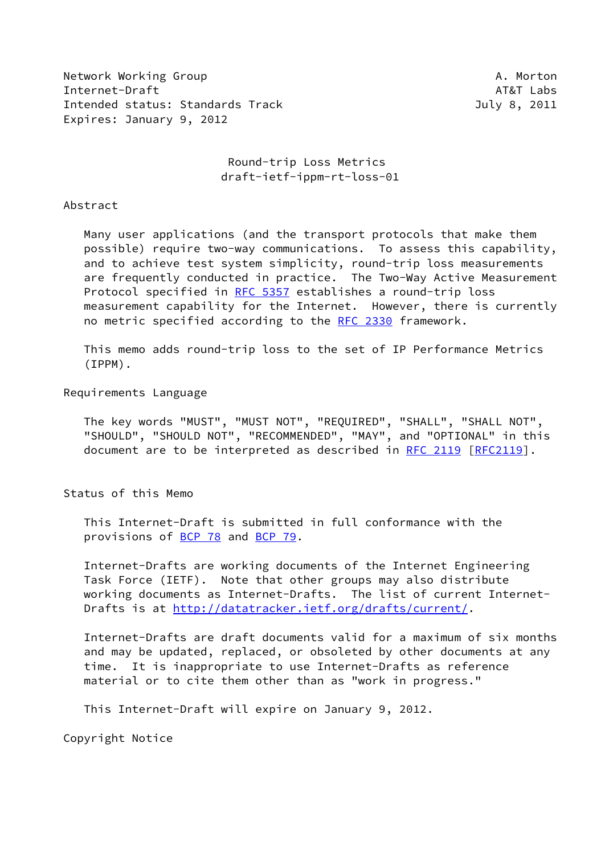Network Working Group **A. Morton** A. Morton Internet-Draft AT&T Labs Intended status: Standards Track July 8, 2011 Expires: January 9, 2012

 Round-trip Loss Metrics draft-ietf-ippm-rt-loss-01

#### Abstract

 Many user applications (and the transport protocols that make them possible) require two-way communications. To assess this capability, and to achieve test system simplicity, round-trip loss measurements are frequently conducted in practice. The Two-Way Active Measurement Protocol specified in [RFC 5357](https://datatracker.ietf.org/doc/pdf/rfc5357) establishes a round-trip loss measurement capability for the Internet. However, there is currently no metric specified according to the [RFC 2330](https://datatracker.ietf.org/doc/pdf/rfc2330) framework.

 This memo adds round-trip loss to the set of IP Performance Metrics (IPPM).

### Requirements Language

 The key words "MUST", "MUST NOT", "REQUIRED", "SHALL", "SHALL NOT", "SHOULD", "SHOULD NOT", "RECOMMENDED", "MAY", and "OPTIONAL" in this document are to be interpreted as described in [RFC 2119 \[RFC2119](https://datatracker.ietf.org/doc/pdf/rfc2119)].

Status of this Memo

 This Internet-Draft is submitted in full conformance with the provisions of [BCP 78](https://datatracker.ietf.org/doc/pdf/bcp78) and [BCP 79](https://datatracker.ietf.org/doc/pdf/bcp79).

 Internet-Drafts are working documents of the Internet Engineering Task Force (IETF). Note that other groups may also distribute working documents as Internet-Drafts. The list of current Internet- Drafts is at<http://datatracker.ietf.org/drafts/current/>.

 Internet-Drafts are draft documents valid for a maximum of six months and may be updated, replaced, or obsoleted by other documents at any time. It is inappropriate to use Internet-Drafts as reference material or to cite them other than as "work in progress."

This Internet-Draft will expire on January 9, 2012.

Copyright Notice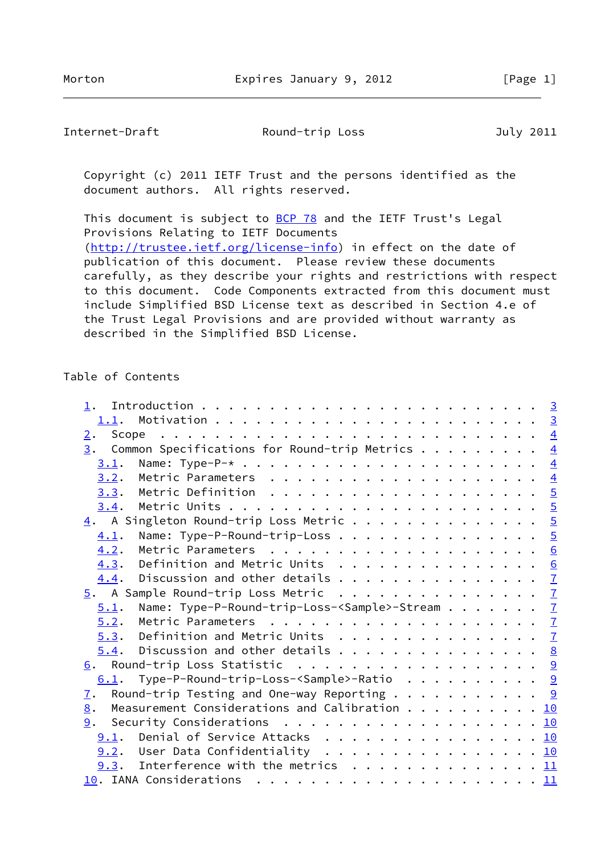Internet-Draft **Round-trip Loss** July 2011

 Copyright (c) 2011 IETF Trust and the persons identified as the document authors. All rights reserved.

This document is subject to **[BCP 78](https://datatracker.ietf.org/doc/pdf/bcp78)** and the IETF Trust's Legal Provisions Relating to IETF Documents [\(http://trustee.ietf.org/license-info](http://trustee.ietf.org/license-info)) in effect on the date of publication of this document. Please review these documents carefully, as they describe your rights and restrictions with respect to this document. Code Components extracted from this document must include Simplified BSD License text as described in Section 4.e of the Trust Legal Provisions and are provided without warranty as described in the Simplified BSD License.

## Table of Contents

| $\overline{2}$ . |                                                                                                                                                                                                                                                            |  |  |  |  |
|------------------|------------------------------------------------------------------------------------------------------------------------------------------------------------------------------------------------------------------------------------------------------------|--|--|--|--|
|                  | $\frac{3}{2}$ . Common Specifications for Round-trip Metrics 4                                                                                                                                                                                             |  |  |  |  |
| 3.1.             |                                                                                                                                                                                                                                                            |  |  |  |  |
| 3.2.             |                                                                                                                                                                                                                                                            |  |  |  |  |
|                  |                                                                                                                                                                                                                                                            |  |  |  |  |
|                  |                                                                                                                                                                                                                                                            |  |  |  |  |
|                  | $\underline{4}$ . A Singleton Round-trip Loss Metric 5                                                                                                                                                                                                     |  |  |  |  |
| 4.1.             | Name: Type-P-Round-trip-Loss 5                                                                                                                                                                                                                             |  |  |  |  |
| 4.2.             |                                                                                                                                                                                                                                                            |  |  |  |  |
|                  | 4.3. Definition and Metric Units 6                                                                                                                                                                                                                         |  |  |  |  |
|                  | $\underline{4.4}$ . Discussion and other details 7                                                                                                                                                                                                         |  |  |  |  |
|                  | $\underline{5}$ . A Sample Round-trip Loss Metric $\underline{7}$                                                                                                                                                                                          |  |  |  |  |
| 5.1.             | Name: Type-P-Round-trip-Loss- <sample>-Stream 7</sample>                                                                                                                                                                                                   |  |  |  |  |
| 5.2.             |                                                                                                                                                                                                                                                            |  |  |  |  |
|                  | $5.3.$ Definition and Metric Units 7                                                                                                                                                                                                                       |  |  |  |  |
|                  | $\underline{5.4}$ . Discussion and other details 8                                                                                                                                                                                                         |  |  |  |  |
|                  | 6. Round-trip Loss Statistic 9                                                                                                                                                                                                                             |  |  |  |  |
|                  | $6.1$ . Type-P-Round-trip-Loss- <sample>-Ratio 9</sample>                                                                                                                                                                                                  |  |  |  |  |
| $\mathbf{I}$ .   | Round-trip Testing and One-way Reporting $\,\mathsf{.} \,\mathsf{.} \,\mathsf{.} \,\mathsf{.} \,\mathsf{.} \,\mathsf{.} \,\mathsf{.} \,\mathsf{.} \,\mathsf{.} \,\mathsf{.} \,\mathsf{.} \,\mathsf{.} \,\mathsf{.} \,\mathsf{.} \,\mathsf{.} \,\mathsf{.}$ |  |  |  |  |
| 8.               | Measurement Considerations and Calibration 10                                                                                                                                                                                                              |  |  |  |  |
|                  | <u>9</u> . Security Considerations 10                                                                                                                                                                                                                      |  |  |  |  |
|                  | 9.1. Denial of Service Attacks 10                                                                                                                                                                                                                          |  |  |  |  |
|                  | $9.2$ . User Data Confidentiality 10                                                                                                                                                                                                                       |  |  |  |  |
|                  | <u>9.3</u> . Interference with the metrics $\ldots$ 11                                                                                                                                                                                                     |  |  |  |  |
|                  |                                                                                                                                                                                                                                                            |  |  |  |  |
|                  |                                                                                                                                                                                                                                                            |  |  |  |  |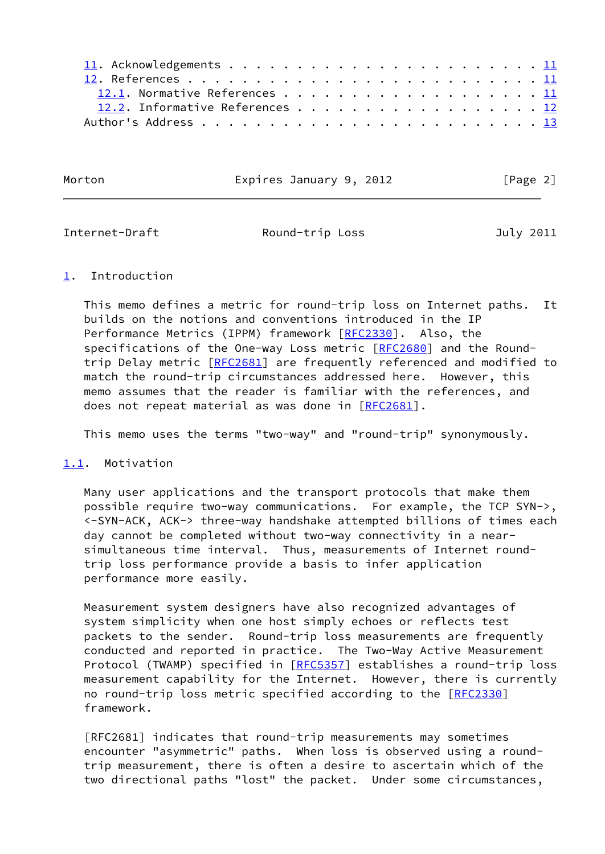| 12.1. Normative References 11   |
|---------------------------------|
| 12.2. Informative References 12 |
|                                 |

Morton **Expires January 9, 2012** [Page 2]

<span id="page-2-1"></span>

Internet-Draft Round-trip Loss July 2011

## <span id="page-2-0"></span>[1](#page-2-0). Introduction

 This memo defines a metric for round-trip loss on Internet paths. It builds on the notions and conventions introduced in the IP Performance Metrics (IPPM) framework [\[RFC2330](https://datatracker.ietf.org/doc/pdf/rfc2330)]. Also, the specifications of the One-way Loss metric [[RFC2680](https://datatracker.ietf.org/doc/pdf/rfc2680)] and the Round-trip Delay metric [[RFC2681](https://datatracker.ietf.org/doc/pdf/rfc2681)] are frequently referenced and modified to match the round-trip circumstances addressed here. However, this memo assumes that the reader is familiar with the references, and does not repeat material as was done in [\[RFC2681](https://datatracker.ietf.org/doc/pdf/rfc2681)].

This memo uses the terms "two-way" and "round-trip" synonymously.

# <span id="page-2-2"></span>[1.1](#page-2-2). Motivation

 Many user applications and the transport protocols that make them possible require two-way communications. For example, the TCP SYN->, <-SYN-ACK, ACK-> three-way handshake attempted billions of times each day cannot be completed without two-way connectivity in a near simultaneous time interval. Thus, measurements of Internet round trip loss performance provide a basis to infer application performance more easily.

 Measurement system designers have also recognized advantages of system simplicity when one host simply echoes or reflects test packets to the sender. Round-trip loss measurements are frequently conducted and reported in practice. The Two-Way Active Measurement Protocol (TWAMP) specified in [[RFC5357](https://datatracker.ietf.org/doc/pdf/rfc5357)] establishes a round-trip loss measurement capability for the Internet. However, there is currently no round-trip loss metric specified according to the [\[RFC2330](https://datatracker.ietf.org/doc/pdf/rfc2330)] framework.

 [RFC2681] indicates that round-trip measurements may sometimes encounter "asymmetric" paths. When loss is observed using a round trip measurement, there is often a desire to ascertain which of the two directional paths "lost" the packet. Under some circumstances,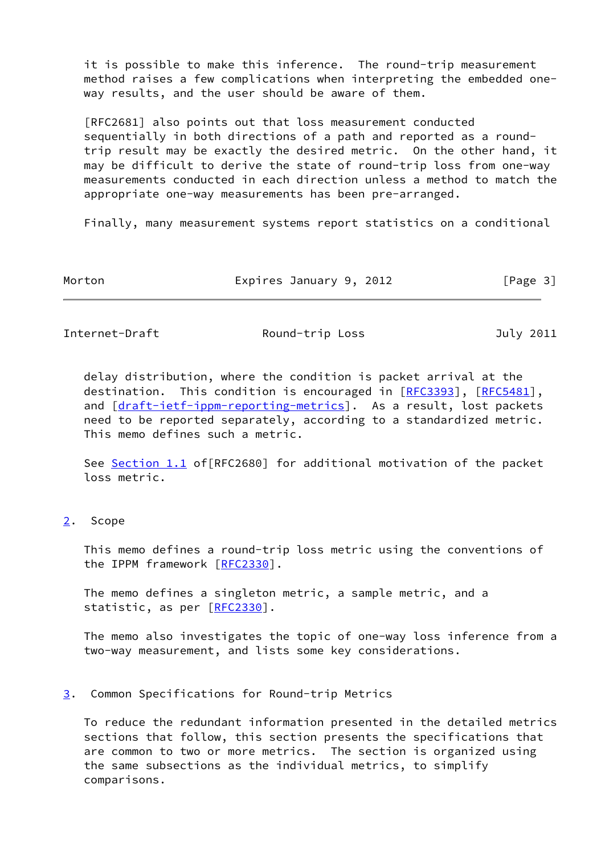it is possible to make this inference. The round-trip measurement method raises a few complications when interpreting the embedded one way results, and the user should be aware of them.

 [RFC2681] also points out that loss measurement conducted sequentially in both directions of a path and reported as a round trip result may be exactly the desired metric. On the other hand, it may be difficult to derive the state of round-trip loss from one-way measurements conducted in each direction unless a method to match the appropriate one-way measurements has been pre-arranged.

Finally, many measurement systems report statistics on a conditional

| Morton | Expires January 9, 2012 | [Page 3] |
|--------|-------------------------|----------|
|        |                         |          |

<span id="page-3-1"></span>Internet-Draft **Round-trip Loss** July 2011

 delay distribution, where the condition is packet arrival at the destination. This condition is encouraged in [[RFC3393](https://datatracker.ietf.org/doc/pdf/rfc3393)], [\[RFC5481](https://datatracker.ietf.org/doc/pdf/rfc5481)], and [\[draft-ietf-ippm-reporting-metrics](https://datatracker.ietf.org/doc/pdf/draft-ietf-ippm-reporting-metrics)]. As a result, lost packets need to be reported separately, according to a standardized metric. This memo defines such a metric.

See [Section 1.1](#page-2-2) of [RFC2680] for additional motivation of the packet loss metric.

# <span id="page-3-0"></span>[2](#page-3-0). Scope

 This memo defines a round-trip loss metric using the conventions of the IPPM framework [[RFC2330\]](https://datatracker.ietf.org/doc/pdf/rfc2330).

 The memo defines a singleton metric, a sample metric, and a statistic, as per [[RFC2330](https://datatracker.ietf.org/doc/pdf/rfc2330)].

 The memo also investigates the topic of one-way loss inference from a two-way measurement, and lists some key considerations.

### <span id="page-3-2"></span>[3](#page-3-2). Common Specifications for Round-trip Metrics

 To reduce the redundant information presented in the detailed metrics sections that follow, this section presents the specifications that are common to two or more metrics. The section is organized using the same subsections as the individual metrics, to simplify comparisons.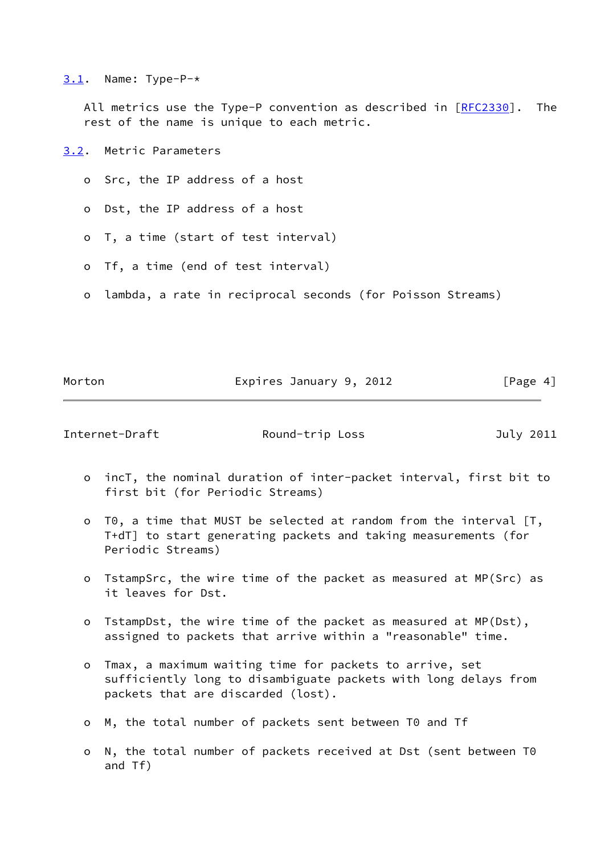<span id="page-4-0"></span> $3.1.$  $3.1.$  Name: Type-P- $*$ 

All metrics use the Type-P convention as described in  $[REC2330]$ . The rest of the name is unique to each metric.

<span id="page-4-1"></span>[3.2](#page-4-1). Metric Parameters

- o Src, the IP address of a host
- o Dst, the IP address of a host
- o T, a time (start of test interval)
- o Tf, a time (end of test interval)
- o lambda, a rate in reciprocal seconds (for Poisson Streams)

Morton **Expires January 9, 2012** [Page 4]

<span id="page-4-2"></span>Internet-Draft **Round-trip Loss** July 2011

- o incT, the nominal duration of inter-packet interval, first bit to first bit (for Periodic Streams)
- o T0, a time that MUST be selected at random from the interval [T, T+dT] to start generating packets and taking measurements (for Periodic Streams)
- o TstampSrc, the wire time of the packet as measured at MP(Src) as it leaves for Dst.
- o TstampDst, the wire time of the packet as measured at MP(Dst), assigned to packets that arrive within a "reasonable" time.
- o Tmax, a maximum waiting time for packets to arrive, set sufficiently long to disambiguate packets with long delays from packets that are discarded (lost).
- o M, the total number of packets sent between T0 and Tf
- o N, the total number of packets received at Dst (sent between T0 and Tf)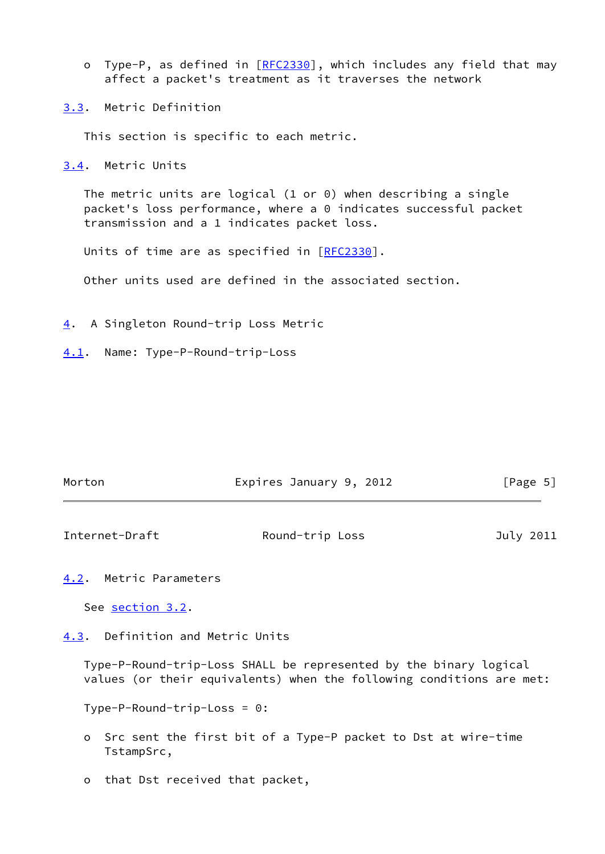- o Type-P, as defined in [\[RFC2330](https://datatracker.ietf.org/doc/pdf/rfc2330)], which includes any field that may affect a packet's treatment as it traverses the network
- <span id="page-5-0"></span>[3.3](#page-5-0). Metric Definition

This section is specific to each metric.

<span id="page-5-1"></span>[3.4](#page-5-1). Metric Units

 The metric units are logical (1 or 0) when describing a single packet's loss performance, where a 0 indicates successful packet transmission and a 1 indicates packet loss.

Units of time are as specified in [[RFC2330](https://datatracker.ietf.org/doc/pdf/rfc2330)].

Other units used are defined in the associated section.

- <span id="page-5-2"></span>[4](#page-5-2). A Singleton Round-trip Loss Metric
- <span id="page-5-3"></span>[4.1](#page-5-3). Name: Type-P-Round-trip-Loss

| Morton | Expires January 9, 2012 | [Page 5] |
|--------|-------------------------|----------|
|        |                         |          |

<span id="page-5-5"></span>Internet-Draft Round-trip Loss July 2011

<span id="page-5-4"></span>[4.2](#page-5-4). Metric Parameters

See [section 3.2.](#page-4-1)

<span id="page-5-6"></span>[4.3](#page-5-6). Definition and Metric Units

 Type-P-Round-trip-Loss SHALL be represented by the binary logical values (or their equivalents) when the following conditions are met:

Type-P-Round-trip-Loss = 0:

- o Src sent the first bit of a Type-P packet to Dst at wire-time TstampSrc,
- o that Dst received that packet,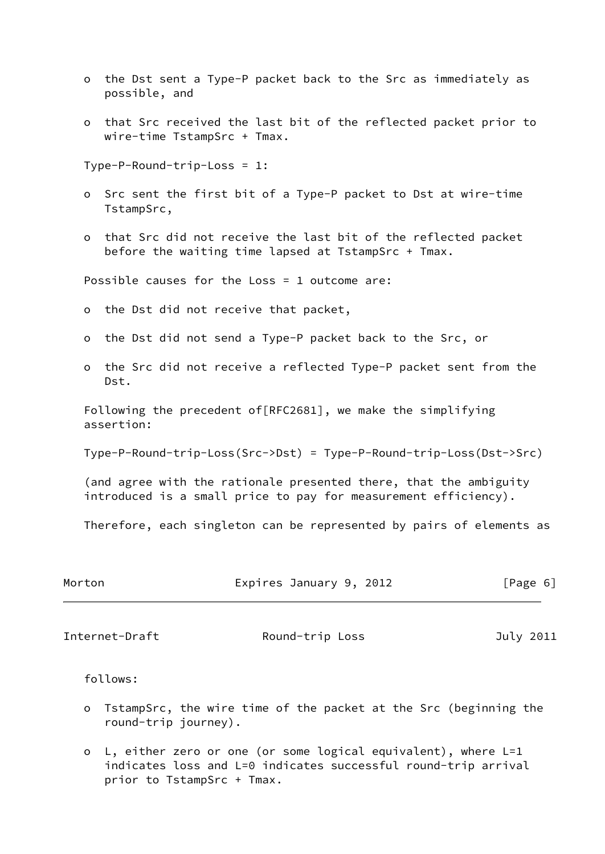- o the Dst sent a Type-P packet back to the Src as immediately as possible, and
- o that Src received the last bit of the reflected packet prior to wire-time TstampSrc + Tmax.

Type-P-Round-trip-Loss = 1:

- o Src sent the first bit of a Type-P packet to Dst at wire-time TstampSrc,
- o that Src did not receive the last bit of the reflected packet before the waiting time lapsed at TstampSrc + Tmax.

Possible causes for the Loss = 1 outcome are:

- o the Dst did not receive that packet,
- o the Dst did not send a Type-P packet back to the Src, or
- o the Src did not receive a reflected Type-P packet sent from the Dst.

 Following the precedent of[RFC2681], we make the simplifying assertion:

Type-P-Round-trip-Loss(Src->Dst) = Type-P-Round-trip-Loss(Dst->Src)

 (and agree with the rationale presented there, that the ambiguity introduced is a small price to pay for measurement efficiency).

Therefore, each singleton can be represented by pairs of elements as

| Morton | Expires January 9, 2012 | [Page 6] |  |
|--------|-------------------------|----------|--|
|        |                         |          |  |

<span id="page-6-0"></span>Internet-Draft **Round-trip Loss** July 2011

follows:

- o TstampSrc, the wire time of the packet at the Src (beginning the round-trip journey).
- o L, either zero or one (or some logical equivalent), where L=1 indicates loss and L=0 indicates successful round-trip arrival prior to TstampSrc + Tmax.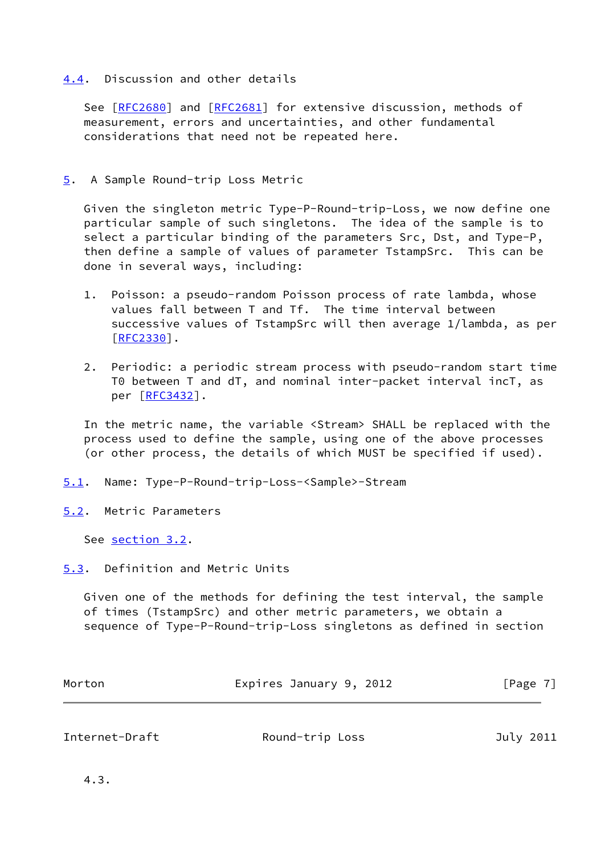# <span id="page-7-0"></span>[4.4](#page-7-0). Discussion and other details

See [\[RFC2680](https://datatracker.ietf.org/doc/pdf/rfc2680)] and [[RFC2681](https://datatracker.ietf.org/doc/pdf/rfc2681)] for extensive discussion, methods of measurement, errors and uncertainties, and other fundamental considerations that need not be repeated here.

# <span id="page-7-1"></span>[5](#page-7-1). A Sample Round-trip Loss Metric

 Given the singleton metric Type-P-Round-trip-Loss, we now define one particular sample of such singletons. The idea of the sample is to select a particular binding of the parameters Src, Dst, and Type-P, then define a sample of values of parameter TstampSrc. This can be done in several ways, including:

- 1. Poisson: a pseudo-random Poisson process of rate lambda, whose values fall between T and Tf. The time interval between successive values of TstampSrc will then average 1/lambda, as per [\[RFC2330](https://datatracker.ietf.org/doc/pdf/rfc2330)].
- 2. Periodic: a periodic stream process with pseudo-random start time T0 between T and dT, and nominal inter-packet interval incT, as per [\[RFC3432](https://datatracker.ietf.org/doc/pdf/rfc3432)].

 In the metric name, the variable <Stream> SHALL be replaced with the process used to define the sample, using one of the above processes (or other process, the details of which MUST be specified if used).

- <span id="page-7-2"></span>[5.1](#page-7-2). Name: Type-P-Round-trip-Loss-<Sample>-Stream
- <span id="page-7-3"></span>[5.2](#page-7-3). Metric Parameters

See [section 3.2.](#page-4-1)

<span id="page-7-4"></span>[5.3](#page-7-4). Definition and Metric Units

 Given one of the methods for defining the test interval, the sample of times (TstampSrc) and other metric parameters, we obtain a sequence of Type-P-Round-trip-Loss singletons as defined in section

| Morton | Expires January 9, 2012 | [Page 7] |
|--------|-------------------------|----------|
|        |                         |          |

<span id="page-7-5"></span>Internet-Draft Round-trip Loss July 2011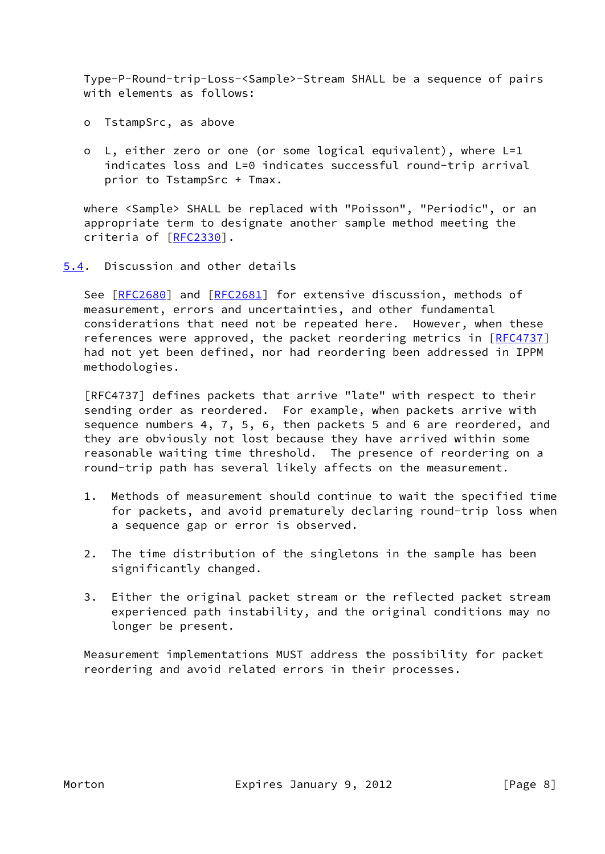Type-P-Round-trip-Loss-<Sample>-Stream SHALL be a sequence of pairs with elements as follows:

- o TstampSrc, as above
- o L, either zero or one (or some logical equivalent), where L=1 indicates loss and L=0 indicates successful round-trip arrival prior to TstampSrc + Tmax.

 where <Sample> SHALL be replaced with "Poisson", "Periodic", or an appropriate term to designate another sample method meeting the criteria of [\[RFC2330](https://datatracker.ietf.org/doc/pdf/rfc2330)].

<span id="page-8-0"></span>[5.4](#page-8-0). Discussion and other details

See [\[RFC2680](https://datatracker.ietf.org/doc/pdf/rfc2680)] and [[RFC2681](https://datatracker.ietf.org/doc/pdf/rfc2681)] for extensive discussion, methods of measurement, errors and uncertainties, and other fundamental considerations that need not be repeated here. However, when these references were approved, the packet reordering metrics in [[RFC4737\]](https://datatracker.ietf.org/doc/pdf/rfc4737) had not yet been defined, nor had reordering been addressed in IPPM methodologies.

 [RFC4737] defines packets that arrive "late" with respect to their sending order as reordered. For example, when packets arrive with sequence numbers 4, 7, 5, 6, then packets 5 and 6 are reordered, and they are obviously not lost because they have arrived within some reasonable waiting time threshold. The presence of reordering on a round-trip path has several likely affects on the measurement.

- 1. Methods of measurement should continue to wait the specified time for packets, and avoid prematurely declaring round-trip loss when a sequence gap or error is observed.
- 2. The time distribution of the singletons in the sample has been significantly changed.
- 3. Either the original packet stream or the reflected packet stream experienced path instability, and the original conditions may no longer be present.

 Measurement implementations MUST address the possibility for packet reordering and avoid related errors in their processes.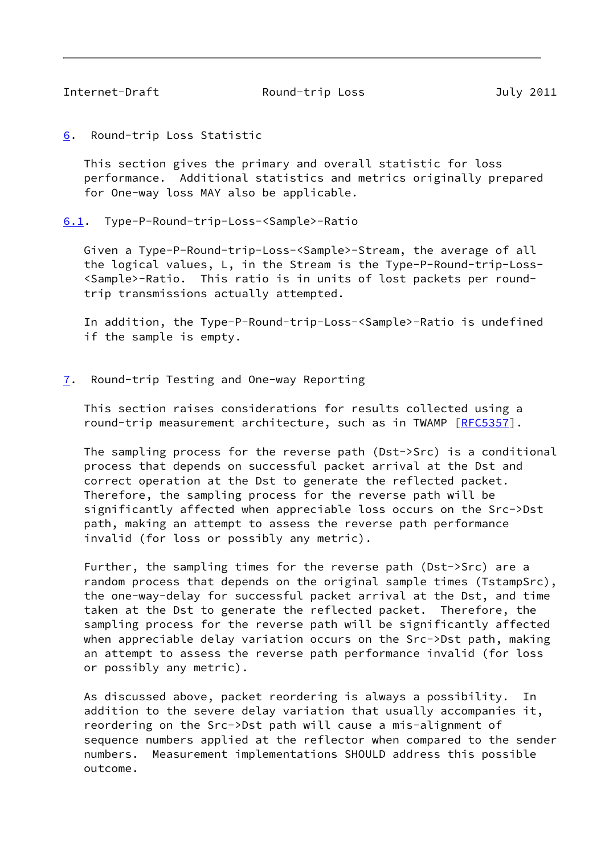<span id="page-9-1"></span>

Internet-Draft Round-trip Loss July 2011

<span id="page-9-0"></span>[6](#page-9-0). Round-trip Loss Statistic

 This section gives the primary and overall statistic for loss performance. Additional statistics and metrics originally prepared for One-way loss MAY also be applicable.

<span id="page-9-2"></span>[6.1](#page-9-2). Type-P-Round-trip-Loss-<Sample>-Ratio

 Given a Type-P-Round-trip-Loss-<Sample>-Stream, the average of all the logical values, L, in the Stream is the Type-P-Round-trip-Loss- <Sample>-Ratio. This ratio is in units of lost packets per round trip transmissions actually attempted.

 In addition, the Type-P-Round-trip-Loss-<Sample>-Ratio is undefined if the sample is empty.

<span id="page-9-3"></span>[7](#page-9-3). Round-trip Testing and One-way Reporting

 This section raises considerations for results collected using a round-trip measurement architecture, such as in TWAMP [[RFC5357](https://datatracker.ietf.org/doc/pdf/rfc5357)].

 The sampling process for the reverse path (Dst->Src) is a conditional process that depends on successful packet arrival at the Dst and correct operation at the Dst to generate the reflected packet. Therefore, the sampling process for the reverse path will be significantly affected when appreciable loss occurs on the Src->Dst path, making an attempt to assess the reverse path performance invalid (for loss or possibly any metric).

 Further, the sampling times for the reverse path (Dst->Src) are a random process that depends on the original sample times (TstampSrc), the one-way-delay for successful packet arrival at the Dst, and time taken at the Dst to generate the reflected packet. Therefore, the sampling process for the reverse path will be significantly affected when appreciable delay variation occurs on the Src->Dst path, making an attempt to assess the reverse path performance invalid (for loss or possibly any metric).

 As discussed above, packet reordering is always a possibility. In addition to the severe delay variation that usually accompanies it, reordering on the Src->Dst path will cause a mis-alignment of sequence numbers applied at the reflector when compared to the sender numbers. Measurement implementations SHOULD address this possible outcome.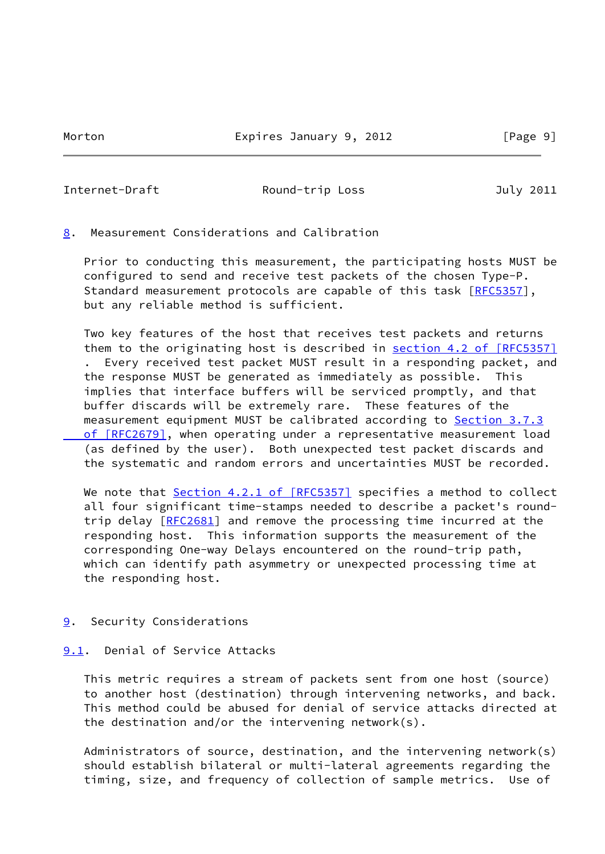<span id="page-10-1"></span>Internet-Draft Round-trip Loss July 2011

<span id="page-10-0"></span>[8](#page-10-0). Measurement Considerations and Calibration

 Prior to conducting this measurement, the participating hosts MUST be configured to send and receive test packets of the chosen Type-P. Standard measurement protocols are capable of this task [\[RFC5357](https://datatracker.ietf.org/doc/pdf/rfc5357)], but any reliable method is sufficient.

 Two key features of the host that receives test packets and returns them to the originating host is described in section [4.2 of \[RFC5357\]](https://datatracker.ietf.org/doc/pdf/rfc5357#section-4.2) . Every received test packet MUST result in a responding packet, and the response MUST be generated as immediately as possible. This implies that interface buffers will be serviced promptly, and that buffer discards will be extremely rare. These features of the measurement equipment MUST be calibrated according to **Section 3.7.3**  [of \[RFC2679\]](https://datatracker.ietf.org/doc/pdf/rfc2679#section-3.7.3), when operating under a representative measurement load (as defined by the user). Both unexpected test packet discards and the systematic and random errors and uncertainties MUST be recorded.

We note that Section [4.2.1 of \[RFC5357\]](https://datatracker.ietf.org/doc/pdf/rfc5357#section-4.2.1) specifies a method to collect all four significant time-stamps needed to describe a packet's round- trip delay [[RFC2681\]](https://datatracker.ietf.org/doc/pdf/rfc2681) and remove the processing time incurred at the responding host. This information supports the measurement of the corresponding One-way Delays encountered on the round-trip path, which can identify path asymmetry or unexpected processing time at the responding host.

<span id="page-10-2"></span>[9](#page-10-2). Security Considerations

# <span id="page-10-3"></span>[9.1](#page-10-3). Denial of Service Attacks

 This metric requires a stream of packets sent from one host (source) to another host (destination) through intervening networks, and back. This method could be abused for denial of service attacks directed at the destination and/or the intervening network(s).

 Administrators of source, destination, and the intervening network(s) should establish bilateral or multi-lateral agreements regarding the timing, size, and frequency of collection of sample metrics. Use of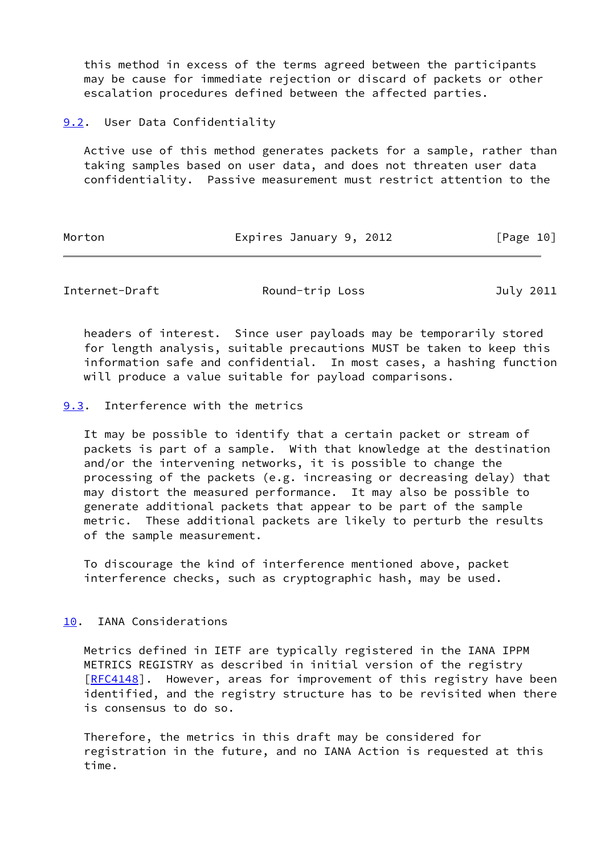this method in excess of the terms agreed between the participants may be cause for immediate rejection or discard of packets or other escalation procedures defined between the affected parties.

<span id="page-11-0"></span>[9.2](#page-11-0). User Data Confidentiality

 Active use of this method generates packets for a sample, rather than taking samples based on user data, and does not threaten user data confidentiality. Passive measurement must restrict attention to the

Morton **Expires January 9, 2012** [Page 10]

<span id="page-11-2"></span>Internet-Draft Round-trip Loss July 2011

 headers of interest. Since user payloads may be temporarily stored for length analysis, suitable precautions MUST be taken to keep this information safe and confidential. In most cases, a hashing function will produce a value suitable for payload comparisons.

<span id="page-11-1"></span>[9.3](#page-11-1). Interference with the metrics

 It may be possible to identify that a certain packet or stream of packets is part of a sample. With that knowledge at the destination and/or the intervening networks, it is possible to change the processing of the packets (e.g. increasing or decreasing delay) that may distort the measured performance. It may also be possible to generate additional packets that appear to be part of the sample metric. These additional packets are likely to perturb the results of the sample measurement.

 To discourage the kind of interference mentioned above, packet interference checks, such as cryptographic hash, may be used.

<span id="page-11-3"></span>[10.](#page-11-3) IANA Considerations

 Metrics defined in IETF are typically registered in the IANA IPPM METRICS REGISTRY as described in initial version of the registry [\[RFC4148](https://datatracker.ietf.org/doc/pdf/rfc4148)]. However, areas for improvement of this registry have been identified, and the registry structure has to be revisited when there is consensus to do so.

 Therefore, the metrics in this draft may be considered for registration in the future, and no IANA Action is requested at this time.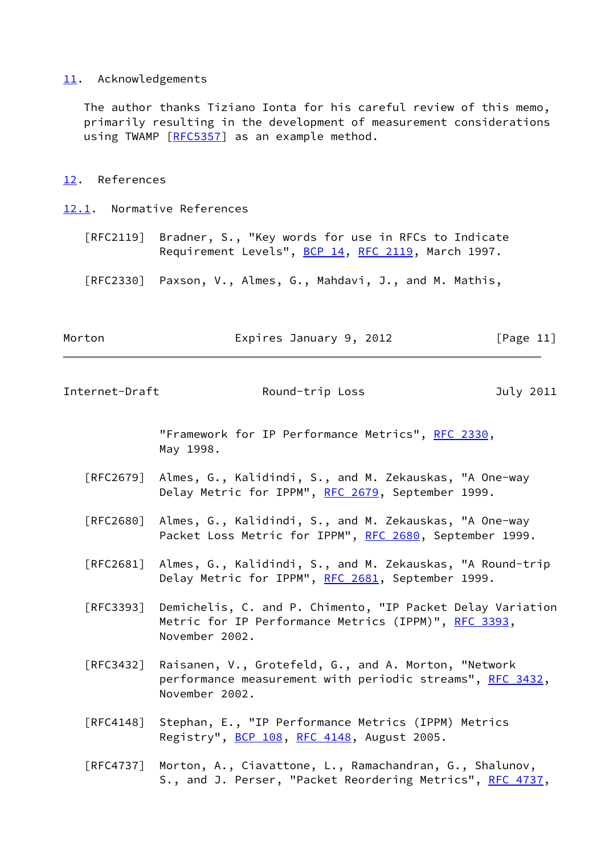#### <span id="page-12-0"></span>[11.](#page-12-0) Acknowledgements

 The author thanks Tiziano Ionta for his careful review of this memo, primarily resulting in the development of measurement considerations using TWAMP [\[RFC5357](https://datatracker.ietf.org/doc/pdf/rfc5357)] as an example method.

<span id="page-12-1"></span>[12.](#page-12-1) References

<span id="page-12-2"></span>[12.1](#page-12-2). Normative References

 [RFC2119] Bradner, S., "Key words for use in RFCs to Indicate Requirement Levels", [BCP 14](https://datatracker.ietf.org/doc/pdf/bcp14), [RFC 2119](https://datatracker.ietf.org/doc/pdf/rfc2119), March 1997.

[RFC2330] Paxson, V., Almes, G., Mahdavi, J., and M. Mathis,

Morton **Expires January 9, 2012** [Page 11]

<span id="page-12-3"></span>Internet-Draft Round-trip Loss July 2011

 "Framework for IP Performance Metrics", [RFC 2330,](https://datatracker.ietf.org/doc/pdf/rfc2330) May 1998.

- [RFC2679] Almes, G., Kalidindi, S., and M. Zekauskas, "A One-way Delay Metric for IPPM", [RFC 2679,](https://datatracker.ietf.org/doc/pdf/rfc2679) September 1999.
- [RFC2680] Almes, G., Kalidindi, S., and M. Zekauskas, "A One-way Packet Loss Metric for IPPM", [RFC 2680](https://datatracker.ietf.org/doc/pdf/rfc2680), September 1999.
- [RFC2681] Almes, G., Kalidindi, S., and M. Zekauskas, "A Round-trip Delay Metric for IPPM", [RFC 2681,](https://datatracker.ietf.org/doc/pdf/rfc2681) September 1999.
- [RFC3393] Demichelis, C. and P. Chimento, "IP Packet Delay Variation Metric for IP Performance Metrics (IPPM)", [RFC 3393](https://datatracker.ietf.org/doc/pdf/rfc3393), November 2002.
- [RFC3432] Raisanen, V., Grotefeld, G., and A. Morton, "Network performance measurement with periodic streams", [RFC 3432,](https://datatracker.ietf.org/doc/pdf/rfc3432) November 2002.
- [RFC4148] Stephan, E., "IP Performance Metrics (IPPM) Metrics Registry", [BCP 108](https://datatracker.ietf.org/doc/pdf/bcp108), [RFC 4148,](https://datatracker.ietf.org/doc/pdf/rfc4148) August 2005.
- [RFC4737] Morton, A., Ciavattone, L., Ramachandran, G., Shalunov, S., and J. Perser, "Packet Reordering Metrics", [RFC 4737,](https://datatracker.ietf.org/doc/pdf/rfc4737)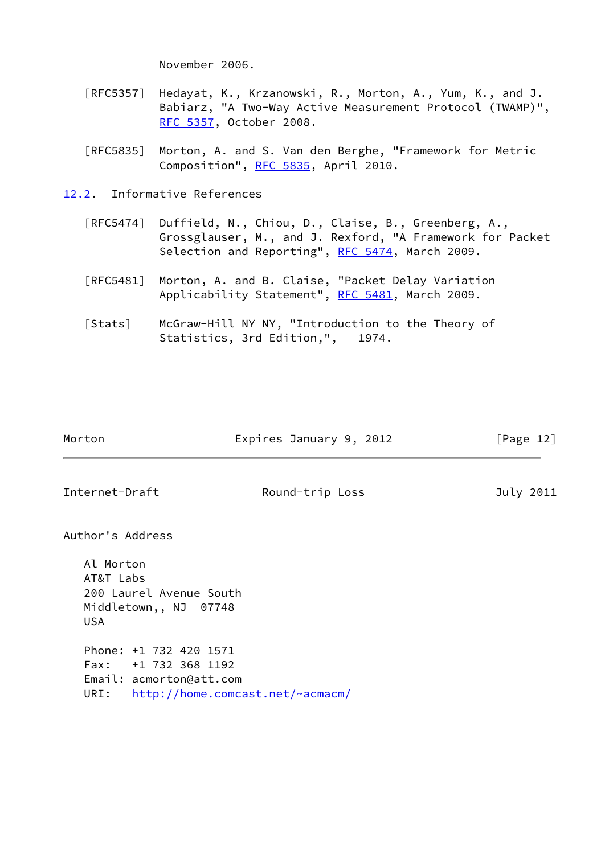November 2006.

- [RFC5357] Hedayat, K., Krzanowski, R., Morton, A., Yum, K., and J. Babiarz, "A Two-Way Active Measurement Protocol (TWAMP)", [RFC 5357,](https://datatracker.ietf.org/doc/pdf/rfc5357) October 2008.
- [RFC5835] Morton, A. and S. Van den Berghe, "Framework for Metric Composition", [RFC 5835](https://datatracker.ietf.org/doc/pdf/rfc5835), April 2010.
- <span id="page-13-0"></span>[12.2](#page-13-0). Informative References
	- [RFC5474] Duffield, N., Chiou, D., Claise, B., Greenberg, A., Grossglauser, M., and J. Rexford, "A Framework for Packet Selection and Reporting", [RFC 5474](https://datatracker.ietf.org/doc/pdf/rfc5474), March 2009.
	- [RFC5481] Morton, A. and B. Claise, "Packet Delay Variation Applicability Statement", [RFC 5481](https://datatracker.ietf.org/doc/pdf/rfc5481), March 2009.
	- [Stats] McGraw-Hill NY NY, "Introduction to the Theory of Statistics, 3rd Edition,", 1974.

| Morton | Expires January 9, 2012 | [Page 12] |
|--------|-------------------------|-----------|
|        |                         |           |

<span id="page-13-1"></span>Internet-Draft **Round-trip Loss** July 2011

Author's Address

 Al Morton AT&T Labs 200 Laurel Avenue South Middletown,, NJ 07748 USA Phone: +1 732 420 1571 Fax: +1 732 368 1192 Email: acmorton@att.com URI: <http://home.comcast.net/~acmacm/>